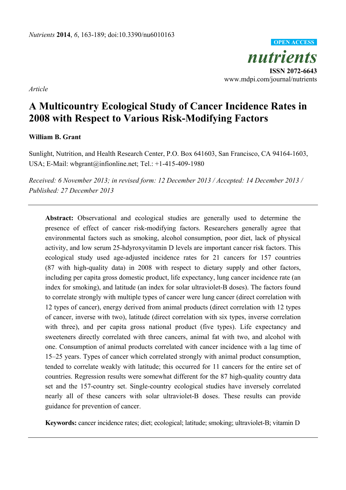*nutrients*  **ISSN 2072-6643**  www.mdpi.com/journal/nutrients **OPEN ACCESS**

*Article*

# **A Multicountry Ecological Study of Cancer Incidence Rates in 2008 with Respect to Various Risk-Modifying Factors**

### **William B. Grant**

Sunlight, Nutrition, and Health Research Center, P.O. Box 641603, San Francisco, CA 94164-1603, USA; E-Mail: wbgrant@infionline.net; Tel.: +1-415-409-1980

*Received: 6 November 2013; in revised form: 12 December 2013 / Accepted: 14 December 2013 / Published: 27 December 2013* 

**Abstract:** Observational and ecological studies are generally used to determine the presence of effect of cancer risk-modifying factors. Researchers generally agree that environmental factors such as smoking, alcohol consumption, poor diet, lack of physical activity, and low serum 25-hdyroxyvitamin D levels are important cancer risk factors. This ecological study used age-adjusted incidence rates for 21 cancers for 157 countries (87 with high-quality data) in 2008 with respect to dietary supply and other factors, including per capita gross domestic product, life expectancy, lung cancer incidence rate (an index for smoking), and latitude (an index for solar ultraviolet-B doses). The factors found to correlate strongly with multiple types of cancer were lung cancer (direct correlation with 12 types of cancer), energy derived from animal products (direct correlation with 12 types of cancer, inverse with two), latitude (direct correlation with six types, inverse correlation with three), and per capita gross national product (five types). Life expectancy and sweeteners directly correlated with three cancers, animal fat with two, and alcohol with one. Consumption of animal products correlated with cancer incidence with a lag time of 15–25 years. Types of cancer which correlated strongly with animal product consumption, tended to correlate weakly with latitude; this occurred for 11 cancers for the entire set of countries. Regression results were somewhat different for the 87 high-quality country data set and the 157-country set. Single-country ecological studies have inversely correlated nearly all of these cancers with solar ultraviolet-B doses. These results can provide guidance for prevention of cancer.

**Keywords:** cancer incidence rates; diet; ecological; latitude; smoking; ultraviolet-B; vitamin D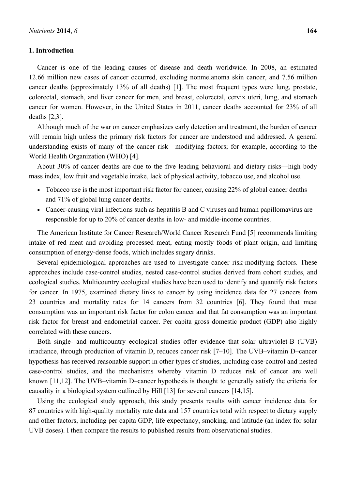### **1. Introduction**

Cancer is one of the leading causes of disease and death worldwide. In 2008, an estimated 12.66 million new cases of cancer occurred, excluding nonmelanoma skin cancer, and 7.56 million cancer deaths (approximately 13% of all deaths) [1]. The most frequent types were lung, prostate, colorectal, stomach, and liver cancer for men, and breast, colorectal, cervix uteri, lung, and stomach cancer for women. However, in the United States in 2011, cancer deaths accounted for 23% of all deaths [2,3].

Although much of the war on cancer emphasizes early detection and treatment, the burden of cancer will remain high unless the primary risk factors for cancer are understood and addressed. A general understanding exists of many of the cancer risk—modifying factors; for example, according to the World Health Organization (WHO) [4].

About 30% of cancer deaths are due to the five leading behavioral and dietary risks—high body mass index, low fruit and vegetable intake, lack of physical activity, tobacco use, and alcohol use.

- Tobacco use is the most important risk factor for cancer, causing 22% of global cancer deaths and 71% of global lung cancer deaths.
- Cancer-causing viral infections such as hepatitis B and C viruses and human papillomavirus are responsible for up to 20% of cancer deaths in low- and middle-income countries.

The American Institute for Cancer Research/World Cancer Research Fund [5] recommends limiting intake of red meat and avoiding processed meat, eating mostly foods of plant origin, and limiting consumption of energy-dense foods, which includes sugary drinks.

Several epidemiological approaches are used to investigate cancer risk-modifying factors. These approaches include case-control studies, nested case-control studies derived from cohort studies, and ecological studies. Multicountry ecological studies have been used to identify and quantify risk factors for cancer. In 1975, examined dietary links to cancer by using incidence data for 27 cancers from 23 countries and mortality rates for 14 cancers from 32 countries [6]. They found that meat consumption was an important risk factor for colon cancer and that fat consumption was an important risk factor for breast and endometrial cancer. Per capita gross domestic product (GDP) also highly correlated with these cancers.

Both single- and multicountry ecological studies offer evidence that solar ultraviolet-B (UVB) irradiance, through production of vitamin D, reduces cancer risk [7–10]. The UVB–vitamin D–cancer hypothesis has received reasonable support in other types of studies, including case-control and nested case-control studies, and the mechanisms whereby vitamin D reduces risk of cancer are well known [11,12]. The UVB–vitamin D–cancer hypothesis is thought to generally satisfy the criteria for causality in a biological system outlined by Hill [13] for several cancers [14,15].

Using the ecological study approach, this study presents results with cancer incidence data for 87 countries with high-quality mortality rate data and 157 countries total with respect to dietary supply and other factors, including per capita GDP, life expectancy, smoking, and latitude (an index for solar UVB doses). I then compare the results to published results from observational studies.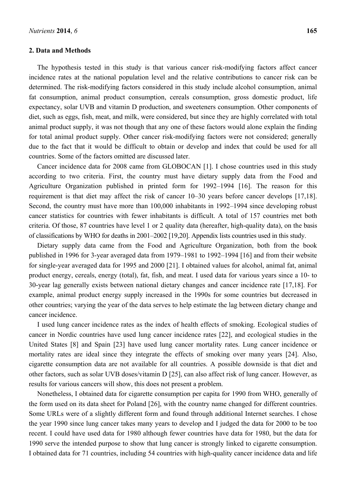#### **2. Data and Methods**

The hypothesis tested in this study is that various cancer risk-modifying factors affect cancer incidence rates at the national population level and the relative contributions to cancer risk can be determined. The risk-modifying factors considered in this study include alcohol consumption, animal fat consumption, animal product consumption, cereals consumption, gross domestic product, life expectancy, solar UVB and vitamin D production, and sweeteners consumption. Other components of diet, such as eggs, fish, meat, and milk, were considered, but since they are highly correlated with total animal product supply, it was not though that any one of these factors would alone explain the finding for total animal product supply. Other cancer risk-modifying factors were not considered; generally due to the fact that it would be difficult to obtain or develop and index that could be used for all countries. Some of the factors omitted are discussed later.

Cancer incidence data for 2008 came from GLOBOCAN [1]. I chose countries used in this study according to two criteria. First, the country must have dietary supply data from the Food and Agriculture Organization published in printed form for 1992–1994 [16]. The reason for this requirement is that diet may affect the risk of cancer 10–30 years before cancer develops [17,18]. Second, the country must have more than 100,000 inhabitants in 1992–1994 since developing robust cancer statistics for countries with fewer inhabitants is difficult. A total of 157 countries met both criteria. Of those, 87 countries have level 1 or 2 quality data (hereafter, high-quality data), on the basis of classifications by WHO for deaths in 2001–2002 [19,20]. Appendix lists countries used in this study.

Dietary supply data came from the Food and Agriculture Organization, both from the book published in 1996 for 3-year averaged data from 1979–1981 to 1992–1994 [16] and from their website for single-year averaged data for 1995 and 2000 [21]. I obtained values for alcohol, animal fat, animal product energy, cereals, energy (total), fat, fish, and meat. I used data for various years since a 10- to 30-year lag generally exists between national dietary changes and cancer incidence rate [17,18]. For example, animal product energy supply increased in the 1990s for some countries but decreased in other countries; varying the year of the data serves to help estimate the lag between dietary change and cancer incidence.

I used lung cancer incidence rates as the index of health effects of smoking. Ecological studies of cancer in Nordic countries have used lung cancer incidence rates [22], and ecological studies in the United States [8] and Spain [23] have used lung cancer mortality rates. Lung cancer incidence or mortality rates are ideal since they integrate the effects of smoking over many years [24]. Also, cigarette consumption data are not available for all countries. A possible downside is that diet and other factors, such as solar UVB doses/vitamin D [25], can also affect risk of lung cancer. However, as results for various cancers will show, this does not present a problem.

Nonetheless, I obtained data for cigarette consumption per capita for 1990 from WHO, generally of the form used on its data sheet for Poland [26], with the country name changed for different countries. Some URLs were of a slightly different form and found through additional Internet searches. I chose the year 1990 since lung cancer takes many years to develop and I judged the data for 2000 to be too recent. I could have used data for 1980 although fewer countries have data for 1980, but the data for 1990 serve the intended purpose to show that lung cancer is strongly linked to cigarette consumption. I obtained data for 71 countries, including 54 countries with high-quality cancer incidence data and life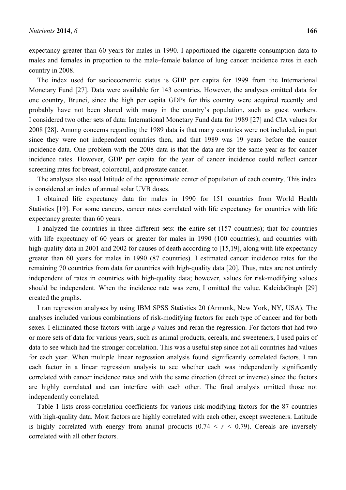expectancy greater than 60 years for males in 1990. I apportioned the cigarette consumption data to males and females in proportion to the male–female balance of lung cancer incidence rates in each country in 2008.

The index used for socioeconomic status is GDP per capita for 1999 from the International Monetary Fund [27]. Data were available for 143 countries. However, the analyses omitted data for one country, Brunei, since the high per capita GDPs for this country were acquired recently and probably have not been shared with many in the country's population, such as guest workers. I considered two other sets of data: International Monetary Fund data for 1989 [27] and CIA values for 2008 [28]. Among concerns regarding the 1989 data is that many countries were not included, in part since they were not independent countries then, and that 1989 was 19 years before the cancer incidence data. One problem with the 2008 data is that the data are for the same year as for cancer incidence rates. However, GDP per capita for the year of cancer incidence could reflect cancer screening rates for breast, colorectal, and prostate cancer.

The analyses also used latitude of the approximate center of population of each country. This index is considered an index of annual solar UVB doses.

I obtained life expectancy data for males in 1990 for 151 countries from World Health Statistics [19]. For some cancers, cancer rates correlated with life expectancy for countries with life expectancy greater than 60 years.

I analyzed the countries in three different sets: the entire set (157 countries); that for countries with life expectancy of 60 years or greater for males in 1990 (100 countries); and countries with high-quality data in 2001 and 2002 for causes of death according to [15,19], along with life expectancy greater than 60 years for males in 1990 (87 countries). I estimated cancer incidence rates for the remaining 70 countries from data for countries with high-quality data [20]. Thus, rates are not entirely independent of rates in countries with high-quality data; however, values for risk-modifying values should be independent. When the incidence rate was zero, I omitted the value. KaleidaGraph [29] created the graphs.

I ran regression analyses by using IBM SPSS Statistics 20 (Armonk, New York, NY, USA). The analyses included various combinations of risk-modifying factors for each type of cancer and for both sexes. I eliminated those factors with large *p* values and reran the regression. For factors that had two or more sets of data for various years, such as animal products, cereals, and sweeteners, I used pairs of data to see which had the stronger correlation. This was a useful step since not all countries had values for each year. When multiple linear regression analysis found significantly correlated factors, I ran each factor in a linear regression analysis to see whether each was independently significantly correlated with cancer incidence rates and with the same direction (direct or inverse) since the factors are highly correlated and can interfere with each other. The final analysis omitted those not independently correlated.

Table 1 lists cross-correlation coefficients for various risk-modifying factors for the 87 countries with high-quality data. Most factors are highly correlated with each other, except sweeteners. Latitude is highly correlated with energy from animal products  $(0.74 < r < 0.79)$ . Cereals are inversely correlated with all other factors.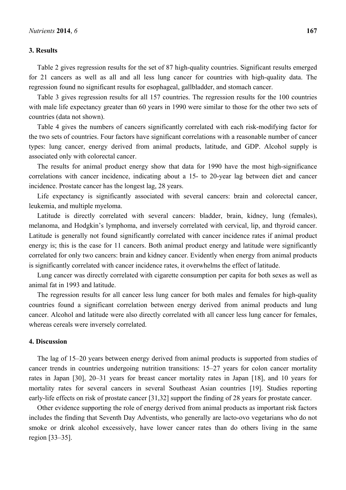### **3. Results**

Table 2 gives regression results for the set of 87 high-quality countries. Significant results emerged for 21 cancers as well as all and all less lung cancer for countries with high-quality data. The regression found no significant results for esophageal, gallbladder, and stomach cancer.

Table 3 gives regression results for all 157 countries. The regression results for the 100 countries with male life expectancy greater than 60 years in 1990 were similar to those for the other two sets of countries (data not shown).

Table 4 gives the numbers of cancers significantly correlated with each risk-modifying factor for the two sets of countries. Four factors have significant correlations with a reasonable number of cancer types: lung cancer, energy derived from animal products, latitude, and GDP. Alcohol supply is associated only with colorectal cancer.

The results for animal product energy show that data for 1990 have the most high-significance correlations with cancer incidence, indicating about a 15- to 20-year lag between diet and cancer incidence. Prostate cancer has the longest lag, 28 years.

Life expectancy is significantly associated with several cancers: brain and colorectal cancer, leukemia, and multiple myeloma.

Latitude is directly correlated with several cancers: bladder, brain, kidney, lung (females), melanoma, and Hodgkin's lymphoma, and inversely correlated with cervical, lip, and thyroid cancer. Latitude is generally not found significantly correlated with cancer incidence rates if animal product energy is; this is the case for 11 cancers. Both animal product energy and latitude were significantly correlated for only two cancers: brain and kidney cancer. Evidently when energy from animal products is significantly correlated with cancer incidence rates, it overwhelms the effect of latitude.

Lung cancer was directly correlated with cigarette consumption per capita for both sexes as well as animal fat in 1993 and latitude.

The regression results for all cancer less lung cancer for both males and females for high-quality countries found a significant correlation between energy derived from animal products and lung cancer. Alcohol and latitude were also directly correlated with all cancer less lung cancer for females, whereas cereals were inversely correlated.

### **4. Discussion**

The lag of 15–20 years between energy derived from animal products is supported from studies of cancer trends in countries undergoing nutrition transitions: 15–27 years for colon cancer mortality rates in Japan [30], 20–31 years for breast cancer mortality rates in Japan [18], and 10 years for mortality rates for several cancers in several Southeast Asian countries [19]. Studies reporting early-life effects on risk of prostate cancer [31,32] support the finding of 28 years for prostate cancer.

Other evidence supporting the role of energy derived from animal products as important risk factors includes the finding that Seventh Day Adventists, who generally are lacto-ovo vegetarians who do not smoke or drink alcohol excessively, have lower cancer rates than do others living in the same region [33–35].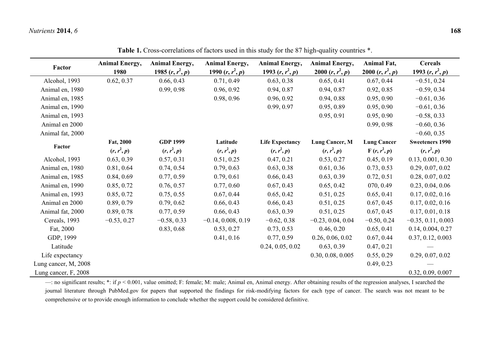|                      | <b>Animal Energy,</b> | <b>Animal Energy,</b> | <b>Animal Energy,</b> | <b>Animal Energy,</b>  | <b>Animal Energy,</b> | Animal Fat,        | <b>Cereals</b>         |
|----------------------|-----------------------|-----------------------|-----------------------|------------------------|-----------------------|--------------------|------------------------|
| Factor               | 1980                  | 1985 $(r, r^2, p)$    | 1990 $(r, r^2, p)$    | 1993 $(r, r^2, p)$     | 2000 $(r, r^2, p)$    | 2000 $(r, r^2, p)$ | 1993 $(r, r^2, p)$     |
| Alcohol, 1993        | 0.62, 0.37            | 0.66, 0.43            | 0.71, 0.49            | 0.63, 0.38             | 0.65, 0.41            | 0.67, 0.44         | $-0.51, 0.24$          |
| Animal en, 1980      |                       | 0.99, 0.98            | 0.96, 0.92            | 0.94, 0.87             | 0.94, 0.87            | 0.92, 0.85         | $-0.59, 0.34$          |
| Animal en, 1985      |                       |                       | 0.98, 0.96            | 0.96, 0.92             | 0.94, 0.88            | 0.95, 0.90         | $-0.61, 0.36$          |
| Animal en, 1990      |                       |                       |                       | 0.99, 0.97             | 0.95, 0.89            | 0.95, 0.90         | $-0.61, 0.36$          |
| Animal en, 1993      |                       |                       |                       |                        | 0.95, 0.91            | 0.95, 0.90         | $-0.58, 0.33$          |
| Animal en 2000       |                       |                       |                       |                        |                       | 0.99, 0.98         | $-0.60, 0.36$          |
| Animal fat, 2000     |                       |                       |                       |                        |                       |                    | $-0.60, 0.35$          |
| Factor               | Fat, 2000             | <b>GDP 1999</b>       | Latitude              | <b>Life Expectancy</b> | Lung Cancer, M        | <b>Lung Cancer</b> | <b>Sweeteners 1990</b> |
|                      | $(r, r^2, p)$         | $(r, r^2, p)$         | $(r, r^2, p)$         | $(r, r^2, p)$          | $(r, r^2, p)$         | $F(r, r^2, p)$     | $(r, r^2, p)$          |
| Alcohol, 1993        | 0.63, 0.39            | 0.57, 0.31            | 0.51, 0.25            | 0.47, 0.21             | 0.53, 0.27            | 0.45, 0.19         | 0.13, 0.001, 0.30      |
| Animal en, 1980      | 0.81, 0.64            | 0.74, 0.54            | 0.79, 0.63            | 0.63, 0.38             | 0.61, 0.36            | 0.73, 0.53         | 0.29, 0.07, 0.02       |
| Animal en, 1985      | 0.84, 0.69            | 0.77, 0.59            | 0.79, 0.61            | 0.66, 0.43             | 0.63, 0.39            | 0.72, 0.51         | 0.28, 0.07, 0.02       |
| Animal en, 1990      | 0.85, 0.72            | 0.76, 0.57            | 0.77, 0.60            | 0.67, 0.43             | 0.65, 0.42            | 070, 0.49          | 0.23, 0.04, 0.06       |
| Animal en, 1993      | 0.85, 0.72            | 0.75, 0.55            | 0.67, 0.44            | 0.65, 0.42             | 0.51, 0.25            | 0.65, 0.41         | 0.17, 0.02, 0.16       |
| Animal en 2000       | 0.89, 0.79            | 0.79, 0.62            | 0.66, 0.43            | 0.66, 0.43             | 0.51, 0.25            | 0.67, 0.45         | 0.17, 0.02, 0.16       |
| Animal fat, 2000     | 0.89, 0.78            | 0.77, 0.59            | 0.66, 0.43            | 0.63, 0.39             | 0.51, 0.25            | 0.67, 0.45         | 0.17, 0.01, 0.18       |
| Cereals, 1993        | $-0.53, 0.27$         | $-0.58, 0.33$         | $-0.14, 0.008, 0.19$  | $-0.62, 0.38$          | $-0.23, 0.04, 0.04$   | $-0.50, 0.24$      | $-0.35, 0.11, 0.003$   |
| Fat, 2000            |                       | 0.83, 0.68            | 0.53, 0.27            | 0.73, 0.53             | 0.46, 0.20            | 0.65, 0.41         | 0.14, 0.004, 0.27      |
| GDP, 1999            |                       |                       | 0.41, 0.16            | 0.77, 0.59             | 0.26, 0.06, 0.02      | 0.67, 0.44         | 0.37, 0.12, 0.003      |
| Latitude             |                       |                       |                       | 0.24, 0.05, 0.02       | 0.63, 0.39            | 0.47, 0.21         |                        |
| Life expectancy      |                       |                       |                       |                        | 0.30, 0.08, 0.005     | 0.55, 0.29         | 0.29, 0.07, 0.02       |
| Lung cancer, M, 2008 |                       |                       |                       |                        |                       | 0.49, 0.23         |                        |
| Lung cancer, F, 2008 |                       |                       |                       |                        |                       |                    | 0.32, 0.09, 0.007      |

**Table 1.** Cross-correlations of factors used in this study for the 87 high-quality countries \*.

—: no significant results; \*: if  $p < 0.001$ , value omitted; F: female; M: male; Animal en, Animal energy. After obtaining results of the regression analyses, I searched the journal literature through PubMed.gov for papers that supported the findings for risk-modifying factors for each type of cancer. The search was not meant to be comprehensive or to provide enough information to conclude whether the support could be considered definitive.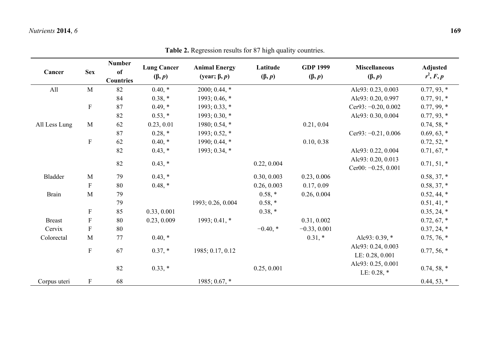| Cancer        | <b>Sex</b>                | <b>Number</b><br>of<br><b>Countries</b> | <b>Lung Cancer</b><br>$(\beta, p)$ | <b>Animal Energy</b><br>(year; $\beta$ , p) | Latitude<br>$(\beta, p)$ | <b>GDP 1999</b><br>$(\beta, p)$ | <b>Miscellaneous</b><br>$(\beta, p)$        | <b>Adjusted</b><br>$r^2, F, p$ |
|---------------|---------------------------|-----------------------------------------|------------------------------------|---------------------------------------------|--------------------------|---------------------------------|---------------------------------------------|--------------------------------|
| All           | M                         | 82                                      | $0.40, *$                          | $2000; 0.44, *$                             |                          |                                 | Alc93: 0.23, 0.003                          | $0.77, 93, *$                  |
|               |                           | 84                                      | $0.38, *$                          | 1993; 0.46, $*$                             |                          |                                 | Alc93: 0.20, 0.997                          | $0.77, 91, *$                  |
|               | $\mathbf F$               | 87                                      | $0.49,*$                           | $1993; 0.33, *$                             |                          |                                 | Cer93: $-0.20, 0.002$                       | $0.77, 99, *$                  |
|               |                           | 82                                      | $0.53, *$                          | 1993; 0.30, *                               |                          |                                 | Alc93: 0.30, 0.004                          | $0.77, 93, *$                  |
| All Less Lung | M                         | 62                                      | 0.23, 0.01                         | 1980; 0.54, $*$                             |                          | 0.21, 0.04                      |                                             | $0.74, 58, *$                  |
|               |                           | 87                                      | $0.28, *$                          | 1993; 0.52, $*$                             |                          |                                 | Cer93: $-0.21, 0.006$                       | $0.69, 63, *$                  |
|               | $\mathbf F$               | 62                                      | $0.40, *$                          | 1990; 0.44, *                               |                          | 0.10, 0.38                      |                                             | $0.72, 52, *$                  |
|               |                           | 82                                      | $0.43, *$                          | 1993; 0.34, *                               |                          |                                 | Alc93: 0.22, 0.004                          | $0.71, 67, *$                  |
|               |                           | 82                                      | $0.43$ , $*$                       |                                             | 0.22, 0.004              |                                 | Alc93: 0.20, 0.013<br>Cer00: $-0.25, 0.001$ | $0.71, 51, *$                  |
| Bladder       | M                         | 79                                      | $0.43$ , $*$                       |                                             | 0.30, 0.003              | 0.23, 0.006                     |                                             | $0.58, 37, *$                  |
|               | $\boldsymbol{\mathrm{F}}$ | 80                                      | $0.48$ , $*$                       |                                             | 0.26, 0.003              | 0.17, 0.09                      |                                             | $0.58, 37, *$                  |
| <b>Brain</b>  | M                         | 79                                      |                                    |                                             | $0.58, *$                | 0.26, 0.004                     |                                             | $0.52, 44, *$                  |
|               |                           | 79                                      |                                    | 1993; 0.26, 0.004                           | $0.58, *$                |                                 |                                             | $0.51, 41, *$                  |
|               | $\mathbf F$               | 85                                      | 0.33, 0.001                        |                                             | $0.38, *$                |                                 |                                             | $0.35, 24, *$                  |
| <b>Breast</b> | $\mathbf F$               | 80                                      | 0.23, 0.009                        | 1993; 0.41, *                               |                          | 0.31, 0.002                     |                                             | $0.72, 67, *$                  |
| Cervix        | $\mathbf F$               | 80                                      |                                    |                                             | $-0.40$ , $*$            | $-0.33, 0.001$                  |                                             | $0.37, 24, *$                  |
| Colorectal    | M                         | 77                                      | $0.40,*$                           |                                             |                          | $0.31, *$                       | Alc93: $0.39$ , $*$                         | $0.75, 76, *$                  |
|               | $\mathbf F$               | 67                                      | $0.37, *$                          | 1985; 0.17, 0.12                            |                          |                                 | Alc93: 0.24, 0.003<br>LE: 0.28, 0.001       | $0.77, 56, *$                  |
|               |                           | 82                                      | $0.33, *$                          |                                             | 0.25, 0.001              |                                 | Alc93: 0.25, 0.001<br>LE: $0.28$ , $*$      | $0.74, 58, *$                  |
| Corpus uteri  | $\mathbf F$               | 68                                      |                                    | 1985; 0.67, *                               |                          |                                 |                                             | $0.44, 53, *$                  |

**Table 2.** Regression results for 87 high quality countries.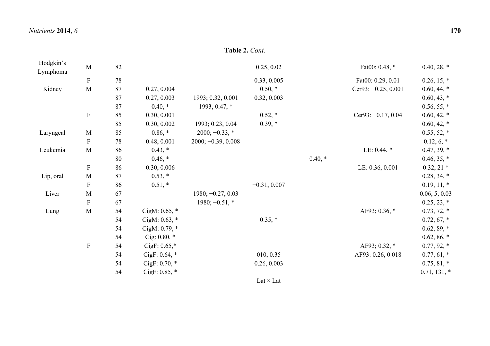| Hodgkin's<br>Lymphoma | $\mathbf M$  | 82 |                    |                      | 0.25, 0.02       |          | Fat00: 0.48, *        | $0.40, 28, *$  |
|-----------------------|--------------|----|--------------------|----------------------|------------------|----------|-----------------------|----------------|
|                       | $\mathbf F$  | 78 |                    |                      | 0.33, 0.005      |          | Fat00: 0.29, 0.01     | $0.26, 15, *$  |
| Kidney                | M            | 87 | 0.27, 0.004        |                      | $0.50,*$         |          | Cer93: $-0.25, 0.001$ | $0.60, 44, *$  |
|                       |              | 87 | 0.27, 0.003        | 1993; 0.32, 0.001    | 0.32, 0.003      |          |                       | $0.60, 43, *$  |
|                       |              | 87 | $0.40,*$           | 1993; 0.47, *        |                  |          |                       | $0.56, 55, *$  |
|                       | ${\bf F}$    | 85 | 0.30, 0.001        |                      | $0.52, *$        |          | Cer93: $-0.17, 0.04$  | $0.60, 42, *$  |
|                       |              | 85 | 0.30, 0.002        | 1993; 0.23, 0.04     | $0.39,*$         |          |                       | $0.60, 42, *$  |
| Laryngeal             | M            | 85 | $0.86, *$          | $2000; -0.33, *$     |                  |          |                       | $0.55, 52, *$  |
|                       | $\mathbf F$  | 78 | 0.48, 0.001        | $2000; -0.39, 0.008$ |                  |          |                       | $0.12, 6, *$   |
| Leukemia              | $\mathbf M$  | 86 | $0.43$ , $*$       |                      |                  |          | LE: $0.44$ , $*$      | $0.47, 39, *$  |
|                       |              | 80 | $0.46, *$          |                      |                  | $0.40,*$ |                       | $0.46, 35, *$  |
|                       | $\mathbf{F}$ | 86 | 0.30, 0.006        |                      |                  |          | LE: 0.36, 0.001       | $0.32, 21*$    |
| Lip, oral             | $\mathbf M$  | 87 | $0.53, *$          |                      |                  |          |                       | $0.28, 34, *$  |
|                       | $\mathbf F$  | 86 | $0.51, *$          |                      | $-0.31, 0.007$   |          |                       | $0.19, 11, *$  |
| Liver                 | $\mathbf M$  | 67 |                    | $1980; -0.27, 0.03$  |                  |          |                       | 0.06, 5, 0.03  |
|                       | $\mathbf F$  | 67 |                    | $1980; -0.51$ , *    |                  |          |                       | $0.25, 23, *$  |
| Lung                  | $\mathbf M$  | 54 | CigM: $0.65$ , $*$ |                      |                  |          | AF93; 0.36, *         | $0.73, 72, *$  |
|                       |              | 54 | CigM: $0.63$ , $*$ |                      | $0.35, *$        |          |                       | $0.72, 67, *$  |
|                       |              | 54 | CigM: 0.79, *      |                      |                  |          |                       | $0.62, 89, *$  |
|                       |              | 54 | Cig: $0.80$ , $*$  |                      |                  |          |                       | $0.62, 86, *$  |
|                       | $\mathbf F$  | 54 | CigF: $0.65$ ,*    |                      |                  |          | AF93; 0.32, *         | $0.77, 92, *$  |
|                       |              | 54 | CigF: $0.64$ , $*$ |                      | 010, 0.35        |          | AF93: 0.26, 0.018     | $0.77, 61, *$  |
|                       |              | 54 | CigF: $0.70$ , $*$ |                      | 0.26, 0.003      |          |                       | $0.75, 81, *$  |
|                       |              | 54 | CigF: $0.85$ , $*$ |                      |                  |          |                       | $0.71, 131, *$ |
|                       |              |    |                    |                      | Lat $\times$ Lat |          |                       |                |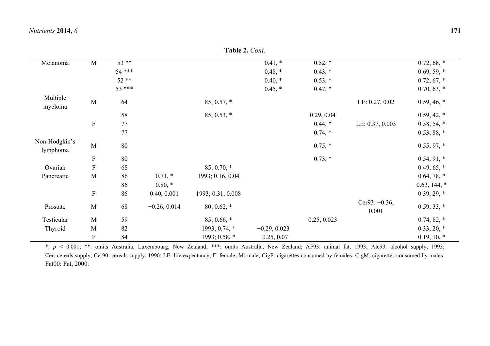|                           |                           |        |                | <b>Table 2.</b> Cont. |                |              |                           |                |
|---------------------------|---------------------------|--------|----------------|-----------------------|----------------|--------------|---------------------------|----------------|
| Melanoma                  | M                         | $53**$ |                |                       | $0.41,*$       | $0.52, *$    |                           | $0.72, 68, *$  |
|                           |                           | 54 *** |                |                       | $0.48, *$      | $0.43, *$    |                           | $0.69, 59, *$  |
|                           |                           | $52**$ |                |                       | $0.40$ , $*$   | $0.53, *$    |                           | $0.72, 67, *$  |
|                           |                           | 53 *** |                |                       | $0.45, *$      | $0.47, *$    |                           | $0.70, 63, *$  |
| Multiple<br>myeloma       | $\mathbf M$               | 64     |                | $85; 0.57, *$         |                |              | LE: 0.27, 0.02            | $0.59, 46, *$  |
|                           |                           | 58     |                | $85; 0.53, *$         |                | 0.29, 0.04   |                           | $0.59, 42, *$  |
|                           | $\boldsymbol{\mathrm{F}}$ | 77     |                |                       |                | $0.44, *$    | LE: 0.37, 0.003           | $0.58, 54, *$  |
|                           |                           | 77     |                |                       |                | $0.74, *$    |                           | $0.53, 88, *$  |
| Non-Hodgkin's<br>lymphoma | $\mathbf M$               | 80     |                |                       |                | $0.75$ , $*$ |                           | $0.55, 97, *$  |
|                           | $\mathbf F$               | 80     |                |                       |                | $0.73, *$    |                           | $0.54, 91, *$  |
| Ovarian                   | $\rm F$                   | 68     |                | $85; 0.70, *$         |                |              |                           | $0.49, 65, *$  |
| Pancreatic                | $\mathbf M$               | 86     | $0.71,*$       | 1993; 0.16, 0.04      |                |              |                           | $0.64, 78, *$  |
|                           |                           | 86     | $0.80, *$      |                       |                |              |                           | $0.63, 144, *$ |
|                           | $\boldsymbol{\mathrm{F}}$ | 86     | 0.40, 0.001    | 1993; 0.31, 0.008     |                |              |                           | $0.39, 29, *$  |
| Prostate                  | M                         | 68     | $-0.26, 0.014$ | 80; 0.62, $*$         |                |              | Cer93: $-0.36$ ,<br>0.001 | $0.59, 33, *$  |
| Testicular                | M                         | 59     |                | $85; 0.66, *$         |                | 0.25, 0.023  |                           | $0.74, 82, *$  |
| Thyroid                   | M                         | 82     |                | 1993; 0.74, $*$       | $-0.29, 0.023$ |              |                           | $0.33, 20, *$  |
|                           | ${\bf F}$                 | 84     |                | 1993; 0.58, *         | $-0.25, 0.07$  |              |                           | $0.19, 10, *$  |

\*: *p* < 0.001; \*\*: omits Australia, Luxembourg, New Zealand; \*\*\*: omits Australia, New Zealand; AF93: animal fat, 1993; Alc93: alcohol supply, 1993; Cer: cereals supply; Cer90: cereals supply, 1990; LE: life expectancy; F: female; M: male; CigF: cigarettes consumed by females; CigM: cigarettes consumed by males; Fat00: Fat, 2000.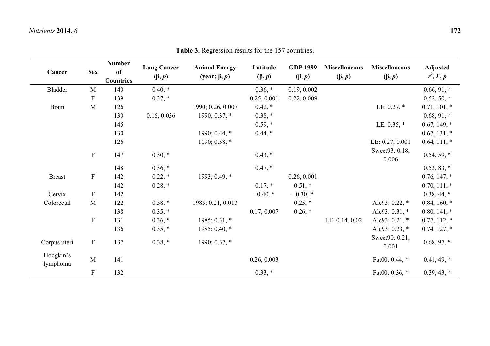| Cancer                | <b>Sex</b>                | <b>Number</b><br>of<br><b>Countries</b> | <b>Lung Cancer</b><br>$(\beta, p)$ | <b>Animal Energy</b><br>(year; $\beta$ , p) | Latitude<br>$(\beta, p)$ | <b>GDP 1999</b><br>$(\beta, p)$ | <b>Miscellaneous</b><br>$(\beta, p)$ | <b>Miscellaneous</b><br>$(\beta, p)$ | <b>Adjusted</b><br>$r^2, F, p$ |
|-----------------------|---------------------------|-----------------------------------------|------------------------------------|---------------------------------------------|--------------------------|---------------------------------|--------------------------------------|--------------------------------------|--------------------------------|
| Bladder               | M                         | 140                                     | $0.40,*$                           |                                             | $0.36,*$                 | 0.19, 0.002                     |                                      |                                      | $0.66, 91, *$                  |
|                       | F                         | 139                                     | $0.37, *$                          |                                             | 0.25, 0.001              | 0.22, 0.009                     |                                      |                                      | $0.52, 50, *$                  |
| <b>Brain</b>          | M                         | 126                                     |                                    | 1990; 0.26, 0.007                           | $0.42, *$                |                                 |                                      | LE: $0.27$ , $*$                     | $0.71, 101, *$                 |
|                       |                           | 130                                     | 0.16, 0.036                        | 1990; 0.37, *                               | $0.38, *$                |                                 |                                      |                                      | $0.68, 91, *$                  |
|                       |                           | 145                                     |                                    |                                             | $0.59,*$                 |                                 |                                      | LE: $0.35$ , $*$                     | $0.67, 149, *$                 |
|                       |                           | 130                                     |                                    | 1990; 0.44, $*$                             | $0.44, *$                |                                 |                                      |                                      | $0.67, 131, *$                 |
|                       |                           | 126                                     |                                    | 1090; 0.58, *                               |                          |                                 |                                      | LE: 0.27, 0.001                      | $0.64, 111, *$                 |
|                       | ${\bf F}$                 | 147                                     | $0.30,*$                           |                                             | $0.43$ , $*$             |                                 |                                      | Sweet93: 0.18,<br>0.006              | $0.54, 59, *$                  |
|                       |                           | 148                                     | $0.36, *$                          |                                             | $0.47, *$                |                                 |                                      |                                      | $0.53, 83, *$                  |
| <b>Breast</b>         | ${\bf F}$                 | 142                                     | $0.22, *$                          | 1993; 0.49, *                               |                          | 0.26, 0.001                     |                                      |                                      | $0.76, 147, *$                 |
|                       |                           | 142                                     | $0.28, *$                          |                                             | $0.17,*$                 | $0.51, *$                       |                                      |                                      | $0.70, 111, *$                 |
| Cervix                | $\boldsymbol{\mathrm{F}}$ | 142                                     |                                    |                                             | $-0.40$ , $*$            | $-0.30$ , $*$                   |                                      |                                      | $0.38, 44, *$                  |
| Colorectal            | M                         | 122                                     | $0.38, *$                          | 1985; 0.21, 0.013                           |                          | $0.25$ , $*$                    |                                      | Alc93: $0.22$ , $*$                  | $0.84, 160, *$                 |
|                       |                           | 138                                     | $0.35, *$                          |                                             | 0.17, 0.007              | $0.26$ , $*$                    |                                      | Alc93: $0.31$ , $*$                  | $0.80, 141, *$                 |
|                       | $\boldsymbol{\mathrm{F}}$ | 131                                     | $0.36, *$                          | 1985; 0.31, *                               |                          |                                 | LE: $0.14, 0.02$                     | Alc93: $0.21$ , $*$                  | $0.77, 112, *$                 |
|                       |                           | 136                                     | $0.35, *$                          | 1985; 0.40, $*$                             |                          |                                 |                                      | Alc93: $0.23$ , $*$                  | $0.74, 127, *$                 |
| Corpus uteri          | ${\bf F}$                 | 137                                     | $0.38, *$                          | 1990; 0.37, *                               |                          |                                 |                                      | Sweet90: 0.21,<br>0.001              | $0.68, 97, *$                  |
| Hodgkin's<br>lymphoma | M                         | 141                                     |                                    |                                             | 0.26, 0.003              |                                 |                                      | Fat00: $0.44$ , $*$                  | $0.41, 49, *$                  |
|                       | $\mathbf F$               | 132                                     |                                    |                                             | $0.33, *$                |                                 |                                      | Fat00: $0.36$ , $*$                  | $0.39, 43, *$                  |

**Table 3.** Regression results for the 157 countries.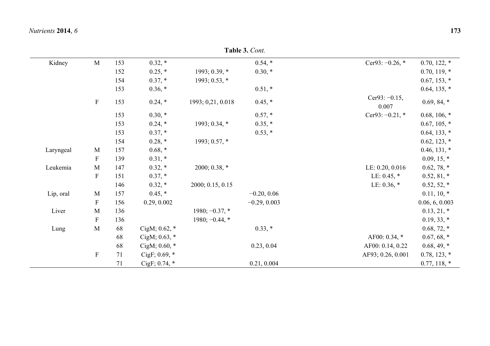| Kidney    | $\mathbf M$  | 153 | $0.32,*$           |                   | $0.54, *$      | Cer93: $-0.26$ , $*$      | $0.70, 122, *$ |
|-----------|--------------|-----|--------------------|-------------------|----------------|---------------------------|----------------|
|           |              | 152 | $0.25, *$          | $1993; 0.39, *$   | $0.30,*$       |                           | $0.70, 119, *$ |
|           |              | 154 | $0.37, *$          | 1993; 0.53, *     |                |                           | $0.67, 153, *$ |
|           |              | 153 | $0.36, *$          |                   | $0.51, *$      |                           | $0.64, 135, *$ |
|           | $\mathbf{F}$ | 153 | $0.24, *$          | 1993; 0,21, 0.018 | $0.45, *$      | Cer93: $-0.15$ ,<br>0.007 | $0.69, 84, *$  |
|           |              | 153 | $0.30,*$           |                   | $0.57, *$      | Cer93: $-0.21$ , $*$      | $0.68, 106, *$ |
|           |              | 153 | $0.24, *$          | 1993; 0.34, *     | $0.35, *$      |                           | $0.67, 105, *$ |
|           |              | 153 | $0.37, *$          |                   | $0.53, *$      |                           | $0.64, 133, *$ |
|           |              | 154 | $0.28, *$          | 1993; 0.57, $*$   |                |                           | $0.62, 123, *$ |
| Laryngeal | M            | 157 | $0.68, *$          |                   |                |                           | $0.46, 131, *$ |
|           | $\mathbf{F}$ | 139 | $0.31, *$          |                   |                |                           | $0.09, 15, *$  |
| Leukemia  | M            | 147 | $0.32, *$          | 2000; 0.38, $*$   |                | LE: 0.20, 0.016           | $0.62, 78, *$  |
|           | $\mathbf{F}$ | 151 | $0.37, *$          |                   |                | LE: $0.45$ , $*$          | $0.52, 81, *$  |
|           |              | 146 | $0.32, *$          | 2000; 0.15, 0.15  |                | LE: $0.36$ , $*$          | $0.52, 52, *$  |
| Lip, oral | M            | 157 | $0.45, *$          |                   | $-0.20, 0.06$  |                           | $0.11, 10, *$  |
|           | ${\bf F}$    | 156 | 0.29, 0.002        |                   | $-0.29, 0.003$ |                           | 0.06, 6, 0.003 |
| Liver     | M            | 136 |                    | $1980; -0.37$ , * |                |                           | $0.13, 21, *$  |
|           | ${\bf F}$    | 136 |                    | $1980; -0.44$ , * |                |                           | $0.19, 33, *$  |
| Lung      | M            | 68  | CigM; $0.62$ , $*$ |                   | $0.33, *$      |                           | $0.68, 72, *$  |
|           |              | 68  | CigM; $0.63$ , $*$ |                   |                | AF00: 0.34, *             | $0.67, 68, *$  |
|           |              | 68  | CigM; $0.60$ , $*$ |                   | 0.23, 0.04     | AF00: 0.14, 0.22          | $0.68, 49, *$  |
|           | ${\bf F}$    | 71  | CigF; $0.69$ , $*$ |                   |                | AF93; 0.26, 0.001         | $0.78, 123, *$ |
|           |              | 71  | $CigF$ ; 0.74, $*$ |                   | 0.21, 0.004    |                           | $0.77, 118, *$ |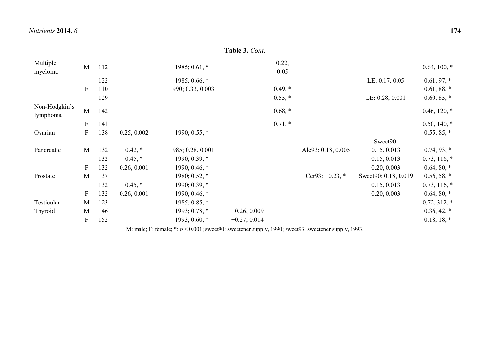| Table 3. Cont.            |                           |     |              |                   |                    |                 |                |  |  |
|---------------------------|---------------------------|-----|--------------|-------------------|--------------------|-----------------|----------------|--|--|
| Multiple                  |                           | 112 |              | $1985; 0.61$ , *  | 0.22,              |                 | $0.64, 100, *$ |  |  |
| myeloma                   | M                         |     |              |                   | 0.05               |                 |                |  |  |
|                           |                           | 122 |              | 1985; 0.66, $*$   |                    | LE: 0.17, 0.05  | $0.61, 97, *$  |  |  |
|                           | F                         | 110 |              | 1990; 0.33, 0.003 | $0.49,*$           |                 | $0.61, 88, *$  |  |  |
|                           |                           | 129 |              |                   | $0.55, *$          | LE: 0.28, 0.001 | $0.60, 85, *$  |  |  |
| Non-Hodgkin's<br>lymphoma | M                         | 142 |              |                   | $0.68, *$          |                 | $0.46, 120, *$ |  |  |
|                           | F                         | 141 |              |                   | $0.71,*$           |                 | $0.50, 140, *$ |  |  |
| Ovarian                   | $\boldsymbol{\mathrm{F}}$ | 138 | 0.25, 0.002  | 1990; 0.55, $*$   |                    |                 | $0.55, 85, *$  |  |  |
|                           |                           |     |              |                   |                    | Sweet90:        |                |  |  |
| Pancreatic                | M                         | 132 | $0.42$ , $*$ | 1985; 0.28, 0.001 | Alc93: 0.18, 0.005 | 0.15, 0.013     | $0.74, 93, *$  |  |  |
|                           |                           | 132 | $0.45$ , $*$ | 1990; 0.39, *     |                    | 0.15, 0.013     | $0.73, 116, *$ |  |  |

F 152 1993; 0.60, \*  $-0.27, 0.014$  0.18, 18, \* 0.18, 18, \* M: male; F: female; \*: *p* < 0.001; sweet90: sweetener supply, 1990; sweet93: sweetener supply, 1993.

F 132 0.26, 0.001 1990; 0.46, \* 0.20, 0.003 0.64, 80, \* Prostate M 137 1980; 0.52, \* Cer93: −0.23, \* Sweet90: 0.18, 0.019 0.56, 58, \*  $132 \t 0.45$ , \* 1990; 0.39, \* 0.15, 0.013 0.73, 116, \* F 132 0.26, 0.001 1990; 0.46, \* 0.20, 0.003 0.64, 80, \* Testicular M 123 1985; 0.85, \* 0.72, 312, \* 0.72, 312, \* Thyroid M 146 1993; 0.78, \* −0.26, 0.009 1993; 0.78, \* 0.26, 0.009 0.36, 42, \*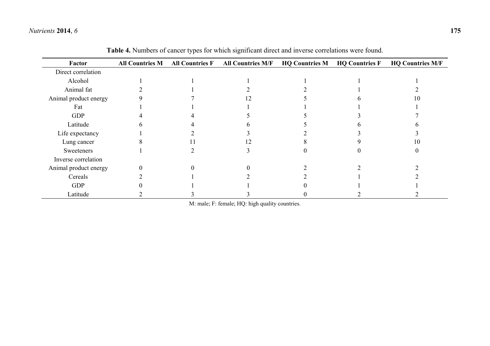| Factor                | <b>All Countries M</b> | <b>All Countries F</b> | <b>All Countries M/F</b> | <b>HQ Countries M</b> | <b>HQ Countries F</b> | <b>HQ Countries M/F</b> |
|-----------------------|------------------------|------------------------|--------------------------|-----------------------|-----------------------|-------------------------|
| Direct correlation    |                        |                        |                          |                       |                       |                         |
| Alcohol               |                        |                        |                          |                       |                       |                         |
| Animal fat            |                        |                        |                          |                       |                       |                         |
| Animal product energy |                        |                        |                          |                       |                       |                         |
| Fat                   |                        |                        |                          |                       |                       |                         |
| <b>GDP</b>            |                        |                        |                          |                       |                       |                         |
| Latitude              |                        |                        |                          |                       |                       |                         |
| Life expectancy       |                        |                        |                          |                       |                       |                         |
| Lung cancer           |                        |                        |                          |                       |                       |                         |
| Sweeteners            |                        |                        |                          |                       |                       |                         |
| Inverse correlation   |                        |                        |                          |                       |                       |                         |
| Animal product energy |                        |                        |                          |                       |                       |                         |
| Cereals               |                        |                        |                          |                       |                       |                         |
| <b>GDP</b>            |                        |                        |                          |                       |                       |                         |
| Latitude              |                        |                        |                          |                       |                       |                         |

**Table 4.** Numbers of cancer types for which significant direct and inverse correlations were found.

M: male; F: female; HQ: high quality countries.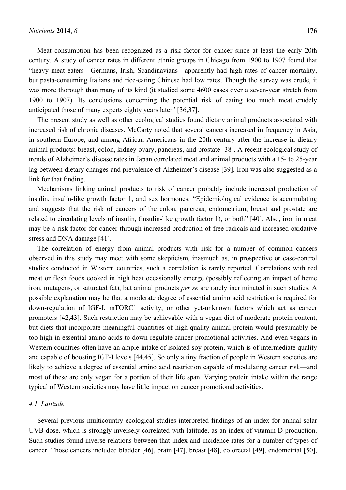Meat consumption has been recognized as a risk factor for cancer since at least the early 20th century. A study of cancer rates in different ethnic groups in Chicago from 1900 to 1907 found that "heavy meat eaters—Germans, Irish, Scandinavians—apparently had high rates of cancer mortality, but pasta-consuming Italians and rice-eating Chinese had low rates. Though the survey was crude, it was more thorough than many of its kind (it studied some 4600 cases over a seven-year stretch from 1900 to 1907). Its conclusions concerning the potential risk of eating too much meat crudely anticipated those of many experts eighty years later" [36,37].

The present study as well as other ecological studies found dietary animal products associated with increased risk of chronic diseases. McCarty noted that several cancers increased in frequency in Asia, in southern Europe, and among African Americans in the 20th century after the increase in dietary animal products: breast, colon, kidney ovary, pancreas, and prostate [38]. A recent ecological study of trends of Alzheimer's disease rates in Japan correlated meat and animal products with a 15- to 25-year lag between dietary changes and prevalence of Alzheimer's disease [39]. Iron was also suggested as a link for that finding.

Mechanisms linking animal products to risk of cancer probably include increased production of insulin, insulin-like growth factor 1, and sex hormones: "Epidemiological evidence is accumulating and suggests that the risk of cancers of the colon, pancreas, endometrium, breast and prostate are related to circulating levels of insulin, (insulin-like growth factor 1), or both" [40]. Also, iron in meat may be a risk factor for cancer through increased production of free radicals and increased oxidative stress and DNA damage [41].

The correlation of energy from animal products with risk for a number of common cancers observed in this study may meet with some skepticism, inasmuch as, in prospective or case-control studies conducted in Western countries, such a correlation is rarely reported. Correlations with red meat or flesh foods cooked in high heat occasionally emerge (possibly reflecting an impact of heme iron, mutagens, or saturated fat), but animal products *per se* are rarely incriminated in such studies. A possible explanation may be that a moderate degree of essential amino acid restriction is required for down-regulation of IGF-I, mTORC1 activity, or other yet-unknown factors which act as cancer promoters [42,43]. Such restriction may be achievable with a vegan diet of moderate protein content, but diets that incorporate meaningful quantities of high-quality animal protein would presumably be too high in essential amino acids to down-regulate cancer promotional activities. And even vegans in Western countries often have an ample intake of isolated soy protein, which is of intermediate quality and capable of boosting IGF-I levels [44,45]. So only a tiny fraction of people in Western societies are likely to achieve a degree of essential amino acid restriction capable of modulating cancer risk—and most of these are only vegan for a portion of their life span. Varying protein intake within the range typical of Western societies may have little impact on cancer promotional activities.

### *4.1. Latitude*

Several previous multicountry ecological studies interpreted findings of an index for annual solar UVB dose, which is strongly inversely correlated with latitude, as an index of vitamin D production. Such studies found inverse relations between that index and incidence rates for a number of types of cancer. Those cancers included bladder [46], brain [47], breast [48], colorectal [49], endometrial [50],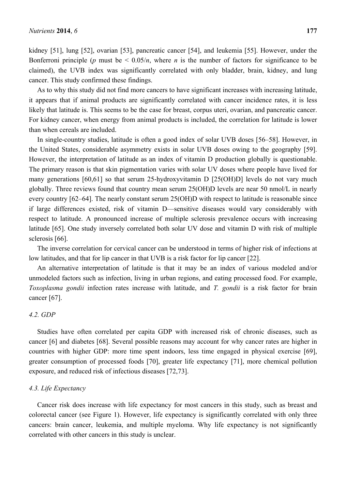kidney [51], lung [52], ovarian [53], pancreatic cancer [54], and leukemia [55]. However, under the Bonferroni principle (*p* must be  $\leq 0.05/n$ , where *n* is the number of factors for significance to be claimed), the UVB index was significantly correlated with only bladder, brain, kidney, and lung cancer. This study confirmed these findings.

As to why this study did not find more cancers to have significant increases with increasing latitude, it appears that if animal products are significantly correlated with cancer incidence rates, it is less likely that latitude is. This seems to be the case for breast, corpus uteri, ovarian, and pancreatic cancer. For kidney cancer, when energy from animal products is included, the correlation for latitude is lower than when cereals are included.

In single-country studies, latitude is often a good index of solar UVB doses [56–58]. However, in the United States, considerable asymmetry exists in solar UVB doses owing to the geography [59]. However, the interpretation of latitude as an index of vitamin D production globally is questionable. The primary reason is that skin pigmentation varies with solar UV doses where people have lived for many generations [60,61] so that serum 25-hydroxyvitamin D [25(OH)D] levels do not vary much globally. Three reviews found that country mean serum 25(OH)D levels are near 50 nmol/L in nearly every country [62–64]. The nearly constant serum 25(OH)D with respect to latitude is reasonable since if large differences existed, risk of vitamin D—sensitive diseases would vary considerably with respect to latitude. A pronounced increase of multiple sclerosis prevalence occurs with increasing latitude [65]. One study inversely correlated both solar UV dose and vitamin D with risk of multiple sclerosis [66].

The inverse correlation for cervical cancer can be understood in terms of higher risk of infections at low latitudes, and that for lip cancer in that UVB is a risk factor for lip cancer [22].

An alternative interpretation of latitude is that it may be an index of various modeled and/or unmodeled factors such as infection, living in urban regions, and eating processed food. For example, *Toxoplasma gondii* infection rates increase with latitude, and *T. gondii* is a risk factor for brain cancer [67].

### *4.2. GDP*

Studies have often correlated per capita GDP with increased risk of chronic diseases, such as cancer [6] and diabetes [68]. Several possible reasons may account for why cancer rates are higher in countries with higher GDP: more time spent indoors, less time engaged in physical exercise [69], greater consumption of processed foods [70], greater life expectancy [71], more chemical pollution exposure, and reduced risk of infectious diseases [72,73].

### *4.3. Life Expectancy*

Cancer risk does increase with life expectancy for most cancers in this study, such as breast and colorectal cancer (see Figure 1). However, life expectancy is significantly correlated with only three cancers: brain cancer, leukemia, and multiple myeloma. Why life expectancy is not significantly correlated with other cancers in this study is unclear.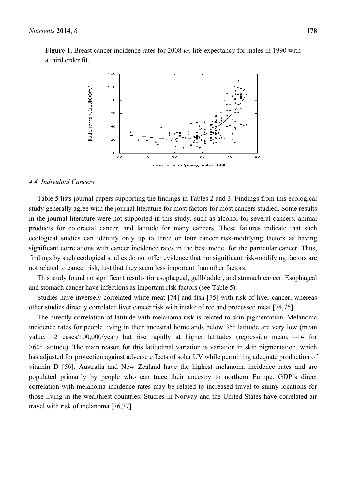**Figure 1.** Breast cancer incidence rates for 2008 *vs*. life expectancy for males in 1990 with a third order fit.



### *4.4. Individual Cancers*

Table 5 lists journal papers supporting the findings in Tables 2 and 3. Findings from this ecological study generally agree with the journal literature for most factors for most cancers studied. Some results in the journal literature were not supported in this study, such as alcohol for several cancers, animal products for colorectal cancer, and latitude for many cancers. These failures indicate that such ecological studies can identify only up to three or four cancer risk-modifying factors as having significant correlations with cancer incidence rates in the best model for the particular cancer. Thus, findings by such ecological studies do not offer evidence that nonsignificant risk-modifying factors are not related to cancer risk, just that they seem less important than other factors.

This study found no significant results for esophageal, gallbladder, and stomach cancer. Esophageal and stomach cancer have infections as important risk factors (see Table 5).

Studies have inversely correlated white meat [74] and fish [75] with risk of liver cancer, whereas other studies directly correlated liver cancer risk with intake of red and processed meat [74,75].

The directly correlation of latitude with melanoma risk is related to skin pigmentation. Melanoma incidence rates for people living in their ancestral homelands below 35° latitude are very low (mean value,  $\sim$ 2 cases/100,000/year) but rise rapidly at higher latitudes (regression mean,  $\sim$ 14 for  $>60^\circ$  latitude). The main reason for this latitudinal variation is variation in skin pigmentation, which has adjusted for protection against adverse effects of solar UV while permitting adequate production of vitamin D [56]. Australia and New Zealand have the highest melanoma incidence rates and are populated primarily by people who can trace their ancestry to northern Europe. GDP's direct correlation with melanoma incidence rates may be related to increased travel to sunny locations for those living in the wealthiest countries. Studies in Norway and the United States have correlated air travel with risk of melanoma [76,77].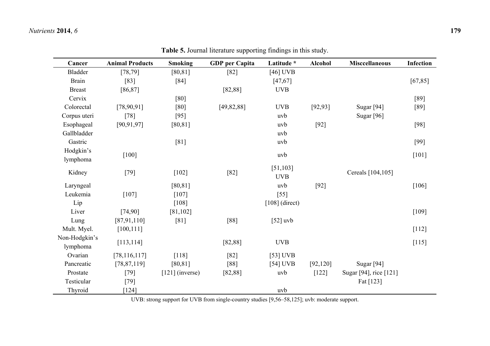| Cancer         | <b>Animal Products</b> | <b>Smoking</b>    | <b>GDP</b> per Capita | Latitude *       | <b>Alcohol</b> | <b>Misccellaneous</b>  | <b>Infection</b> |
|----------------|------------------------|-------------------|-----------------------|------------------|----------------|------------------------|------------------|
| <b>Bladder</b> | [78, 79]               | [80, 81]          | [82]                  | $[46]$ UVB       |                |                        |                  |
| <b>Brain</b>   | $[83]$                 | $[84]$            |                       | [47, 67]         |                |                        | [67, 85]         |
| <b>Breast</b>  | [86, 87]               |                   | [82, 88]              | <b>UVB</b>       |                |                        |                  |
| Cervix         |                        | [80]              |                       |                  |                |                        | $[89]$           |
| Colorectal     | [78,90,91]             | $[80]$            | [49, 82, 88]          | <b>UVB</b>       | [92, 93]       | Sugar [94]             | $[89]$           |
| Corpus uteri   | $[78]$                 | $[95]$            |                       | uvb              |                | Sugar [96]             |                  |
| Esophageal     | [90, 91, 97]           | [80, 81]          |                       | uvb              | $[92]$         |                        | $[98]$           |
| Gallbladder    |                        |                   |                       | uvb              |                |                        |                  |
| Gastric        |                        | [81]              |                       | uvb              |                |                        | $[99]$           |
| Hodgkin's      | $[100]$                |                   |                       | uvb              |                |                        | $[101]$          |
| lymphoma       |                        |                   |                       |                  |                |                        |                  |
| Kidney         | $[79]$                 | $[102]$           | $[82]$                | [51, 103]        |                | Cereals [104,105]      |                  |
|                |                        |                   |                       | <b>UVB</b>       |                |                        |                  |
| Laryngeal      |                        | [80, 81]          |                       | uvb              | $[92]$         |                        | $[106]$          |
| Leukemia       | $[107]$                | $[107]$           |                       | $[55]$           |                |                        |                  |
| Lip            |                        | [108]             |                       | $[108]$ (direct) |                |                        |                  |
| Liver          | [74,90]                | [81, 102]         |                       |                  |                |                        | $[109]$          |
| Lung           | [87,91,110]            | [81]              | [88]                  | $[52]$ uvb       |                |                        |                  |
| Mult. Myel.    | [100, 111]             |                   |                       |                  |                |                        | $[112]$          |
| Non-Hodgkin's  | [113, 114]             |                   | [82, 88]              | <b>UVB</b>       |                |                        | $[115]$          |
| lymphoma       |                        |                   |                       |                  |                |                        |                  |
| Ovarian        | [78, 116, 117]         | $[118]$           | $[82]$                | $[53]$ UVB       |                |                        |                  |
| Pancreatic     | [78, 87, 119]          | [80, 81]          | [88]                  | $[54]$ UVB       | [92, 120]      | Sugar [94]             |                  |
| Prostate       | $[79]$                 | $[121]$ (inverse) | [82, 88]              | uvb              | $[122]$        | Sugar [94], rice [121] |                  |
| Testicular     | $[79]$                 |                   |                       |                  |                | Fat [123]              |                  |
| Thyroid        | $[124]$                |                   |                       | uvb              |                |                        |                  |

**Table 5.** Journal literature supporting findings in this study.

UVB: strong support for UVB from single-country studies [9,56–58,125]; uvb: moderate support.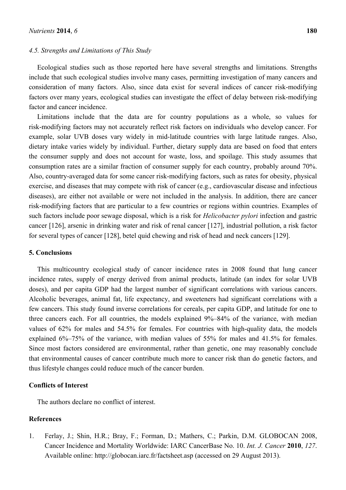#### *4.5. Strengths and Limitations of This Study*

Ecological studies such as those reported here have several strengths and limitations. Strengths include that such ecological studies involve many cases, permitting investigation of many cancers and consideration of many factors. Also, since data exist for several indices of cancer risk-modifying factors over many years, ecological studies can investigate the effect of delay between risk-modifying factor and cancer incidence.

Limitations include that the data are for country populations as a whole, so values for risk-modifying factors may not accurately reflect risk factors on individuals who develop cancer. For example, solar UVB doses vary widely in mid-latitude countries with large latitude ranges. Also, dietary intake varies widely by individual. Further, dietary supply data are based on food that enters the consumer supply and does not account for waste, loss, and spoilage. This study assumes that consumption rates are a similar fraction of consumer supply for each country, probably around 70%. Also, country-averaged data for some cancer risk-modifying factors, such as rates for obesity, physical exercise, and diseases that may compete with risk of cancer (e.g., cardiovascular disease and infectious diseases), are either not available or were not included in the analysis. In addition, there are cancer risk-modifying factors that are particular to a few countries or regions within countries. Examples of such factors include poor sewage disposal, which is a risk for *Helicobacter pylori* infection and gastric cancer [126], arsenic in drinking water and risk of renal cancer [127], industrial pollution, a risk factor for several types of cancer [128], betel quid chewing and risk of head and neck cancers [129].

### **5. Conclusions**

This multicountry ecological study of cancer incidence rates in 2008 found that lung cancer incidence rates, supply of energy derived from animal products, latitude (an index for solar UVB doses), and per capita GDP had the largest number of significant correlations with various cancers. Alcoholic beverages, animal fat, life expectancy, and sweeteners had significant correlations with a few cancers. This study found inverse correlations for cereals, per capita GDP, and latitude for one to three cancers each. For all countries, the models explained 9%–84% of the variance, with median values of 62% for males and 54.5% for females. For countries with high-quality data, the models explained 6%–75% of the variance, with median values of 55% for males and 41.5% for females. Since most factors considered are environmental, rather than genetic, one may reasonably conclude that environmental causes of cancer contribute much more to cancer risk than do genetic factors, and thus lifestyle changes could reduce much of the cancer burden.

### **Conflicts of Interest**

The authors declare no conflict of interest.

### **References**

1. Ferlay, J.; Shin, H.R.; Bray, F.; Forman, D.; Mathers, C.; Parkin, D.M. GLOBOCAN 2008, Cancer Incidence and Mortality Worldwide: IARC CancerBase No. 10. *Int. J. Cancer* **2010**, *127*. Available online: http://globocan.iarc.fr/factsheet.asp (accessed on 29 August 2013).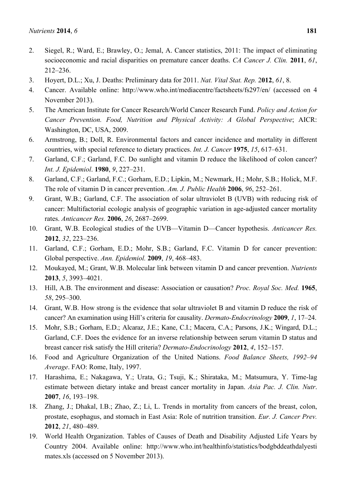- 2. Siegel, R.; Ward, E.; Brawley, O.; Jemal, A. Cancer statistics, 2011: The impact of eliminating socioeconomic and racial disparities on premature cancer deaths. *CA Cancer J. Clin.* **2011**, *61*, 212–236.
- 3. Hoyert, D.L.; Xu, J. Deaths: Preliminary data for 2011. *Nat. Vital Stat. Rep.* 2**012**, *61*, 8.
- 4. Cancer. Available online: http://www.who.int/mediacentre/factsheets/fs297/en/ (accessed on 4 November 2013).
- 5. The American Institute for Cancer Research/World Cancer Research Fund. *Policy and Action for Cancer Prevention. Food, Nutrition and Physical Activity: A Global Perspective*; AICR: Washington, DC, USA, 2009.
- 6. Armstrong, B.; Doll, R. Environmental factors and cancer incidence and mortality in different countries, with special reference to dietary practices. *Int. J. Cancer* **1975**, *15*, 617–631.
- 7. Garland, C.F.; Garland, F.C. Do sunlight and vitamin D reduce the likelihood of colon cancer? *Int. J. Epidemiol*. **1980**, *9*, 227–231.
- 8. Garland, C.F.; Garland, F.C.; Gorham, E.D.; Lipkin, M.; Newmark, H.; Mohr, S.B.; Holick, M.F. The role of vitamin D in cancer prevention. *Am. J. Public Health* **2006**, *96*, 252–261.
- 9. Grant, W.B.; Garland, C.F. The association of solar ultraviolet B (UVB) with reducing risk of cancer: Multifactorial ecologic analysis of geographic variation in age-adjusted cancer mortality rates. *Anticancer Res.* **2006**, *26*, 2687–2699.
- 10. Grant, W.B. Ecological studies of the UVB—Vitamin D—Cancer hypothesis. *Anticancer Res.* **2012**, *32*, 223–236.
- 11. Garland, C.F.; Gorham, E.D.; Mohr, S.B.; Garland, F.C. Vitamin D for cancer prevention: Global perspective. *Ann. Epidemiol.* **2009**, *19*, 468–483.
- 12. Moukayed, M.; Grant, W.B. Molecular link between vitamin D and cancer prevention. *Nutrients* **2013**, *5*, 3993–4021.
- 13. Hill, A.B. The environment and disease: Association or causation? *Proc. Royal Soc. Med.* **1965**, *58*, 295–300.
- 14. Grant, W.B. How strong is the evidence that solar ultraviolet B and vitamin D reduce the risk of cancer? An examination using Hill's criteria for causality. *Dermato-Endocrinology* **2009**, *1*, 17–24.
- 15. Mohr, S.B.; Gorham, E.D.; Alcaraz, J.E.; Kane, C.I.; Macera, C.A.; Parsons, J.K.; Wingard, D.L.; Garland, C.F. Does the evidence for an inverse relationship between serum vitamin D status and breast cancer risk satisfy the Hill criteria? *Dermato-Endocrinology* **2012**, *4*, 152–157.
- 16. Food and Agriculture Organization of the United Nations. *Food Balance Sheets, 1992–94 Average*. FAO: Rome, Italy, 1997.
- 17. Harashima, E.; Nakagawa, Y.; Urata, G.; Tsuji, K.; Shirataka, M.; Matsumura, Y. Time-lag estimate between dietary intake and breast cancer mortality in Japan. *Asia Pac. J. Clin. Nutr*. **2007**, *16*, 193–198.
- 18. Zhang, J.; Dhakal, I.B.; Zhao, Z.; Li, L. Trends in mortality from cancers of the breast, colon, prostate, esophagus, and stomach in East Asia: Role of nutrition transition. *Eur. J. Cancer Prev.* **2012**, *21*, 480–489.
- 19. World Health Organization. Tables of Causes of Death and Disability Adjusted Life Years by Country 2004. Available online: http://www.who.int/healthinfo/statistics/bodgbddeathdalyesti mates.xls (accessed on 5 November 2013).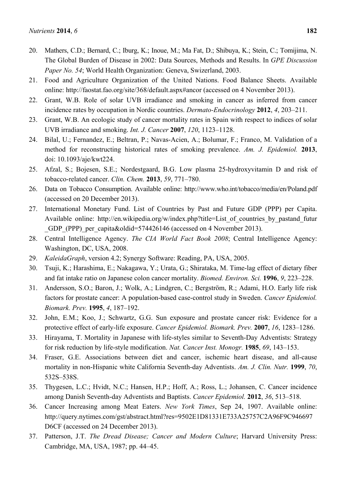- 21. Food and Agriculture Organization of the United Nations. Food Balance Sheets. Available online: http://faostat.fao.org/site/368/default.aspx#ancor (accessed on 4 November 2013).
- 22. Grant, W.B. Role of solar UVB irradiance and smoking in cancer as inferred from cancer incidence rates by occupation in Nordic countries. *Dermato-Endocrinology* **2012**, *4*, 203–211.
- 23. Grant, W.B. An ecologic study of cancer mortality rates in Spain with respect to indices of solar UVB irradiance and smoking. *Int. J. Cancer* **2007**, *120*, 1123–1128.
- 24. Bilal, U.; Fernandez, E.; Beltran, P.; Navas-Acien, A.; Bolumar, F.; Franco, M. Validation of a method for reconstructing historical rates of smoking prevalence. *Am. J. Epidemiol.* **2013**, doi: 10.1093/aje/kwt224.
- 25. Afzal, S.; Bojesen, S.E.; Nordestgaard, B.G. Low plasma 25-hydroxyvitamin D and risk of tobacco-related cancer. *Clin. Chem.* **2013**, *59*, 771–780.
- 26. Data on Tobacco Consumption. Available online: http://www.who.int/tobacco/media/en/Poland.pdf (accessed on 20 December 2013).
- 27. International Monetary Fund. List of Countries by Past and Future GDP (PPP) per Capita. Available online: http://en.wikipedia.org/w/index.php?title=List of countries by pastand futur \_GDP\_(PPP)\_per\_capita&oldid=574426146 (accessed on 4 November 2013).
- 28. Central Intelligence Agency. *The CIA World Fact Book 2008*; Central Intelligence Agency: Washington, DC, USA, 2008.
- 29. *KaleidaGraph*, version 4.2; Synergy Software: Reading, PA, USA, 2005.
- 30. Tsuji, K.; Harashima, E.; Nakagawa, Y.; Urata, G.; Shirataka, M. Time-lag effect of dietary fiber and fat intake ratio on Japanese colon cancer mortality. *Biomed. Environ. Sci.* **1996**, *9*, 223–228.
- 31. Andersson, S.O.; Baron, J.; Wolk, A.; Lindgren, C.; Bergström, R.; Adami, H.O. Early life risk factors for prostate cancer: A population-based case-control study in Sweden. *Cancer Epidemiol. Biomark. Prev.* **1995**, *4*, 187–192.
- 32. John, E.M.; Koo, J.; Schwartz, G.G. Sun exposure and prostate cancer risk: Evidence for a protective effect of early-life exposure. *Cancer Epidemiol. Biomark. Prev.* **2007**, *16*, 1283–1286.
- 33. Hirayama, T. Mortality in Japanese with life-styles similar to Seventh-Day Adventists: Strategy for risk reduction by life-style modification. *Nat. Cancer Inst. Monogr.* **1985**, *69*, 143–153.
- 34. Fraser, G.E. Associations between diet and cancer, ischemic heart disease, and all-cause mortality in non-Hispanic white California Seventh-day Adventists. *Am. J. Clin. Nutr.* **1999**, *70*, 532S–538S.
- 35. Thygesen, L.C.; Hvidt, N.C.; Hansen, H.P.; Hoff, A.; Ross, L.; Johansen, C. Cancer incidence among Danish Seventh-day Adventists and Baptists. *Cancer Epidemiol.* **2012**, *36*, 513–518.
- 36. Cancer Increasing among Meat Eaters. *New York Times*, Sep 24, 1907. Available online: http://query.nytimes.com/gst/abstract.html?res=9502E1D81331E733A25757C2A96F9C946697 D6CF (accessed on 24 December 2013).
- 37. Patterson, J.T. *The Dread Disease; Cancer and Modern Culture*; Harvard University Press: Cambridge, MA, USA, 1987; pp. 44–45.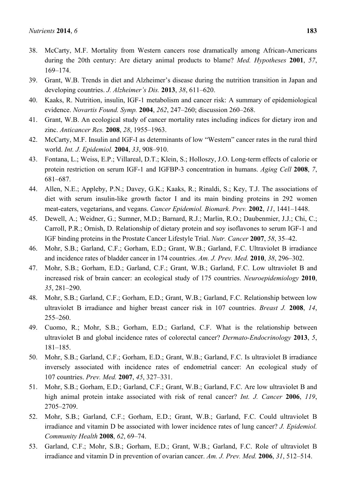- 38. McCarty, M.F. Mortality from Western cancers rose dramatically among African-Americans during the 20th century: Are dietary animal products to blame? *Med. Hypotheses* **2001**, *57*, 169–174.
- 39. Grant, W.B. Trends in diet and Alzheimer's disease during the nutrition transition in Japan and developing countries. *J. Alzheimer's Dis.* **2013**, *38*, 611–620.
- 40. Kaaks, R. Nutrition, insulin, IGF-1 metabolism and cancer risk: A summary of epidemiological evidence. *Novartis Found. Symp.* **2004**, *262*, 247–260; discussion 260–268.
- 41. Grant, W.B. An ecological study of cancer mortality rates including indices for dietary iron and zinc. *Anticancer Res.* **2008**, *28*, 1955–1963.
- 42. McCarty, M.F. Insulin and IGF-I as determinants of low "Western" cancer rates in the rural third world. *Int. J. Epidemiol.* **2004**, *33*, 908–910.
- 43. Fontana, L.; Weiss, E.P.; Villareal, D.T.; Klein, S.; Holloszy, J.O. Long-term effects of calorie or protein restriction on serum IGF-1 and IGFBP-3 concentration in humans. *Aging Cell* **2008**, *7*, 681–687.
- 44. Allen, N.E.; Appleby, P.N.; Davey, G.K.; Kaaks, R.; Rinaldi, S.; Key, T.J. The associations of diet with serum insulin-like growth factor I and its main binding proteins in 292 women meat-eaters, vegetarians, and vegans. *Cancer Epidemiol. Biomark. Prev.* **2002**, *11*, 1441–1448.
- 45. Dewell, A.; Weidner, G.; Sumner, M.D.; Barnard, R.J.; Marlin, R.O.; Daubenmier, J.J.; Chi, C.; Carroll, P.R.; Ornish, D. Relationship of dietary protein and soy isoflavones to serum IGF-1 and IGF binding proteins in the Prostate Cancer Lifestyle Trial. *Nutr. Cancer* **2007**, *58*, 35–42.
- 46. Mohr, S.B.; Garland, C.F.; Gorham, E.D.; Grant, W.B.; Garland, F.C. Ultraviolet B irradiance and incidence rates of bladder cancer in 174 countries. *Am. J. Prev. Med.* **2010**, *38*, 296–302.
- 47. Mohr, S.B.; Gorham, E.D.; Garland, C.F.; Grant, W.B.; Garland, F.C. Low ultraviolet B and increased risk of brain cancer: an ecological study of 175 countries. *Neuroepidemiology* **2010**, *35*, 281–290.
- 48. Mohr, S.B.; Garland, C.F.; Gorham, E.D.; Grant, W.B.; Garland, F.C. Relationship between low ultraviolet B irradiance and higher breast cancer risk in 107 countries. *Breast J.* **2008**, *14*, 255–260.
- 49. Cuomo, R.; Mohr, S.B.; Gorham, E.D.; Garland, C.F. What is the relationship between ultraviolet B and global incidence rates of colorectal cancer? *Dermato-Endocrinology* **2013**, *5*, 181–185.
- 50. Mohr, S.B.; Garland, C.F.; Gorham, E.D.; Grant, W.B.; Garland, F.C. Is ultraviolet B irradiance inversely associated with incidence rates of endometrial cancer: An ecological study of 107 countries. *Prev. Med.* **2007**, *45*, 327–331.
- 51. Mohr, S.B.; Gorham, E.D.; Garland, C.F.; Grant, W.B.; Garland, F.C. Are low ultraviolet B and high animal protein intake associated with risk of renal cancer? *Int. J. Cancer* **2006**, *119*, 2705–2709.
- 52. Mohr, S.B.; Garland, C.F.; Gorham, E.D.; Grant, W.B.; Garland, F.C. Could ultraviolet B irradiance and vitamin D be associated with lower incidence rates of lung cancer? *J. Epidemiol. Community Health* **2008**, *62*, 69–74.
- 53. Garland, C.F.; Mohr, S.B.; Gorham, E.D.; Grant, W.B.; Garland, F.C. Role of ultraviolet B irradiance and vitamin D in prevention of ovarian cancer. *Am. J. Prev. Med.* **2006**, *31*, 512–514.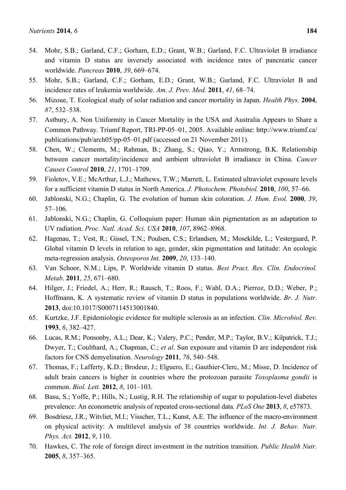- 54. Mohr, S.B.; Garland, C.F.; Gorham, E.D.; Grant, W.B.; Garland, F.C. Ultraviolet B irradiance and vitamin D status are inversely associated with incidence rates of pancreatic cancer worldwide. *Pancreas* **2010**, *39*, 669–674.
- 55. Mohr, S.B.; Garland, C.F.; Gorham, E.D.; Grant, W.B.; Garland, F.C. Ultraviolet B and incidence rates of leukemia worldwide. *Am. J. Prev. Med.* **2011**, *41*, 68–74.
- 56. Mizoue, T. Ecological study of solar radiation and cancer mortality in Japan. *Health Phys.* **2004**, *87*, 532–538.
- 57. Astbury, A. Non Uniformity in Cancer Mortality in the USA and Australia Appears to Share a Common Pathway. Triumf Report, TRI-PP-05–01, 2005. Available online: http://www.triumf.ca/ publications/pub/arch05/pp-05–01.pdf (accessed on 21 November 2011).
- 58. Chen, W.; Clements, M.; Rahman, B.; Zhang, S.; Qiao, Y.; Armstrong, B.K. Relationship between cancer mortality/incidence and ambient ultraviolet B irradiance in China. *Cancer Causes Control* **2010**, *21*, 1701–1709.
- 59. Fioletov, V.E.; McArthur, L.J.; Mathews, T.W.; Marrett, L. Estimated ultraviolet exposure levels for a sufficient vitamin D status in North America. *J. Photochem. Photobiol.* **2010**, *100*, 57–66.
- 60. Jablonski, N.G.; Chaplin, G. The evolution of human skin coloration. *J. Hum. Evol.* **2000**, *39*, 57–106.
- 61. Jablonski, N.G.; Chaplin, G. Colloquium paper: Human skin pigmentation as an adaptation to UV radiation. *Proc. Natl. Acad. Sci. USA* **2010**, *107*, 8962–8968.
- 62. Hagenau, T.; Vest, R.; Gissel, T.N.; Poulsen, C.S.; Erlandsen, M.; Mosekilde, L.; Vestergaard, P. Global vitamin D levels in relation to age, gender, skin pigmentation and latitude: An ecologic meta-regression analysis. *Osteoporos Int.* **2009**, *20*, 133–140.
- 63. Van Schoor, N.M.; Lips, P. Worldwide vitamin D status. *Best Pract. Res. Clin. Endocrinol. Metab*. **2011**, *25*, 671–680.
- 64. Hilger, J.; Friedel, A.; Herr, R.; Rausch, T.; Roos, F.; Wahl, D.A.; Pierroz, D.D.; Weber, P.; Hoffmann, K. A systematic review of vitamin D status in populations worldwide. *Br. J. Nutr.* **2013**, doi:10.1017/S0007114513001840.
- 65. Kurtzke, J.F. Epidemiologic evidence for multiple sclerosis as an infection. *Clin. Microbiol. Rev.* **1993**, *6*, 382–427.
- 66. Lucas, R.M.; Ponsonby, A.L.; Dear, K.; Valery, P.C.; Pender, M.P.; Taylor, B.V.; Kilpatrick, T.J.; Dwyer, T.; Coulthard, A.; Chapman, C.; *et al*. Sun exposure and vitamin D are independent risk factors for CNS demyelination. *Neurology* **2011**, *76*, 540–548.
- 67. Thomas, F.; Lafferty, K.D.; Brodeur, J.; Elguero, E.; Gauthier-Clerc, M.; Misse, D. Incidence of adult brain cancers is higher in countries where the protozoan parasite *Toxoplasma gondii* is common. *Biol. Lett.* **2012**, *8*, 101–103.
- 68. Basu, S.; Yoffe, P.; Hills, N.; Lustig, R.H. The relationship of sugar to population-level diabetes prevalence: An econometric analysis of repeated cross-sectional data. *PLoS One* **2013**, *8*, e57873.
- 69. Bosdriesz, J.R.; Witvliet, M.I.; Visscher, T.L.; Kunst, A.E. The influence of the macro-environment on physical activity: A multilevel analysis of 38 countries worldwide. *Int. J. Behav. Nutr. Phys. Act.* **2012**, *9*, 110.
- 70. Hawkes, C. The role of foreign direct investment in the nutrition transition. *Public Health Nutr.* **2005**, *8*, 357–365.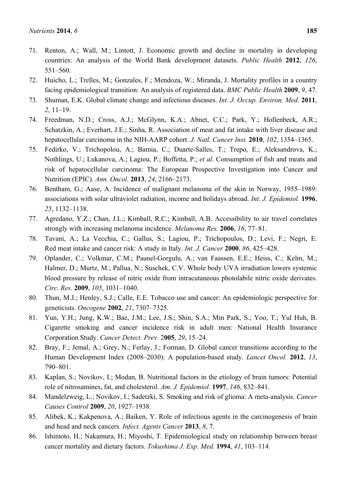- 71. Renton, A.; Wall, M.; Lintott, J. Economic growth and decline in mortality in developing countries: An analysis of the World Bank development datasets. *Public Health* **2012**, *126*, 551–560.
- 72. Huicho, L.; Trelles, M.; Gonzales, F.; Mendoza, W.; Miranda, J. Mortality profiles in a country facing epidemiological transition: An analysis of registered data. *BMC Public Health* **2009**, *9*, 47.
- 73. Shuman, E.K. Global climate change and infectious diseases. *Int. J. Occup. Environ. Med.* **2011**, *2*, 11–19.
- 74. Freedman, N.D.; Cross, A.J.; McGlynn, K.A.; Abnet, C.C.; Park, Y.; Hollenbeck, A.R.; Schatzkin, A.; Everhart, J.E.; Sinha, R. Association of meat and fat intake with liver disease and hepatocellular carcinoma in the NIH-AARP cohort. *J. Natl. Cancer Inst.* **2010**, *102*, 1354–1365.
- 75. Fedirko, V.; Trichopolou, A.; Bamia, C.; Duarte-Salles, T.; Trepo, E.; Aleksandrova, K.; Nothlings, U.; Lukanova, A.; Lagiou, P.; Boffetta, P.; *et al*. Consumption of fish and meats and risk of hepatocellular carcinoma: The European Prospective Investigation into Cancer and Nutrition (EPIC). *Ann. Oncol.* **2013**, *24*, 2166–2173.
- 76. Bentham, G.; Aase, A. Incidence of malignant melanoma of the skin in Norway, 1955–1989: associations with solar ultraviolet radiation, income and holidays abroad. *Int. J. Epidemiol.* **1996**, *25*, 1132–1138.
- 77. Agredano, Y.Z.; Chan, J.L.; Kimball, R.C.; Kimball, A.B. Accessibility to air travel correlates strongly with increasing melanoma incidence. *Melanoma Res.* **2006**, *16*, 77–81.
- 78. Tavani, A.; La Vecchia, C.; Gallus, S.; Lagiou, P.; Trichopoulos, D.; Levi, F.; Negri, E. Red meat intake and cancer risk: A study in Italy. *Int. J. Cancer* **2000**, *86*, 425–428.
- 79. Oplander, C.; Volkmar, C.M.; Paunel-Gorgulu, A.; van Faassen, E.E.; Heiss, C.; Kelm, M.; Halmer, D.; Murtz, M.; Pallua, N.; Suschek, C.V. Whole body UVA irradiation lowers systemic blood pressure by release of nitric oxide from intracutaneous photolabile nitric oxide derivates. *Circ. Res.* **2009**, *105*, 1031–1040.
- 80. Thun, M.J.; Henley, S.J.; Calle, E.E. Tobacco use and cancer: An epidemiologic perspective for geneticists. *Oncogene* **2002**, *21*, 7307–7325.
- 81. Yun, Y.H.; Jung, K.W.; Bae, J.M.; Lee, J.S.; Shin, S.A.; Min Park, S.; Yoo, T.; Yul Huh, B. Cigarette smoking and cancer incidence risk in adult men: National Health Insurance Corporation Study. *Cancer Detect. Prev.* 2**005**, *29*, 15–24.
- 82. Bray, F.; Jemal, A.; Grey, N.; Ferlay, J.; Forman, D. Global cancer transitions according to the Human Development Index (2008–2030): A population-based study. *Lancet Oncol.* **2012**, *13*, 790–801.
- 83. Kaplan, S.; Novikov, I.; Modan, B. Nutritional factors in the etiology of brain tumors: Potential role of nitrosamines, fat, and cholesterol. *Am. J. Epidemiol.* **1997**, *146*, 832–841.
- 84. Mandelzweig, L.; Novikov, I.; Sadetzki, S. Smoking and risk of glioma: A meta-analysis. *Cancer Causes Control* **2009**, *20*, 1927–1938.
- 85. Alibek, K.; Kakpenova, A.; Baiken, Y. Role of infectious agents in the carcinogenesis of brain and head and neck cancers. *Infect. Agents Cancer* **2013**, *8*, 7.
- 86. Ishimoto, H.; Nakamura, H.; Miyoshi, T. Epidemiological study on relationship between breast cancer mortality and dietary factors. *Tokushima J. Exp. Med.* **1994**, *41*, 103–114.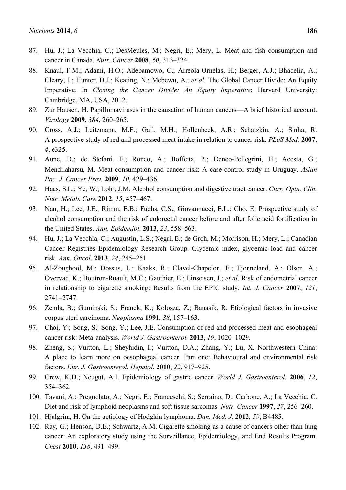- 87. Hu, J.; La Vecchia, C.; DesMeules, M.; Negri, E.; Mery, L. Meat and fish consumption and cancer in Canada. *Nutr. Cancer* **2008**, *60*, 313–324.
- 88. Knaul, F.M.; Adami, H.O.; Adebamowo, C.; Arreola-Ornelas, H.; Berger, A.J.; Bhadelia, A.; Cleary, J.; Hunter, D.J.; Keating, N.; Mebewu, A.; *et al*. The Global Cancer Divide: An Equity Imperative. In *Closing the Cancer Divide: An Equity Imperative*; Harvard University: Cambridge, MA, USA, 2012.
- 89. Zur Hausen, H. Papillomaviruses in the causation of human cancers—A brief historical account. *Virology* **2009**, *384*, 260–265.
- 90. Cross, A.J.; Leitzmann, M.F.; Gail, M.H.; Hollenbeck, A.R.; Schatzkin, A.; Sinha, R. A prospective study of red and processed meat intake in relation to cancer risk. *PLoS Med.* **2007**, *4*, e325.
- 91. Aune, D.; de Stefani, E.; Ronco, A.; Boffetta, P.; Deneo-Pellegrini, H.; Acosta, G.; Mendilaharsu, M. Meat consumption and cancer risk: A case-control study in Uruguay. *Asian Pac. J. Cancer Prev.* **2009**, *10*, 429–436.
- 92. Haas, S.L.; Ye, W.; Lohr, J.M. Alcohol consumption and digestive tract cancer. *Curr. Opin. Clin. Nutr. Metab. Care* **2012**, *15*, 457–467.
- 93. Nan, H.; Lee, J.E.; Rimm, E.B.; Fuchs, C.S.; Giovannucci, E.L.; Cho, E. Prospective study of alcohol consumption and the risk of colorectal cancer before and after folic acid fortification in the United States. *Ann. Epidemiol.* **2013**, *23*, 558–563.
- 94. Hu, J.; La Vecchia, C.; Augustin, L.S.; Negri, E.; de Groh, M.; Morrison, H.; Mery, L.; Canadian Cancer Registries Epidemiology Research Group. Glycemic index, glycemic load and cancer risk. *Ann. Oncol*. **2013**, *24*, 245–251.
- 95. Al-Zoughool, M.; Dossus, L.; Kaaks, R.; Clavel-Chapelon, F.; Tjonneland, A.; Olsen, A.; Overvad, K.; Boutron-Ruault, M.C.; Gauthier, E.; Linseisen, J.; *et al*. Risk of endometrial cancer in relationship to cigarette smoking: Results from the EPIC study. *Int. J. Cancer* **2007**, *121*, 2741–2747.
- 96. Zemla, B.; Guminski, S.; Franek, K.; Kolosza, Z.; Banasik, R. Etiological factors in invasive corpus uteri carcinoma. *Neoplasma* **1991**, *38*, 157–163.
- 97. Choi, Y.; Song, S.; Song, Y.; Lee, J.E. Consumption of red and processed meat and esophageal cancer risk: Meta-analysis. *World J. Gastroenterol.* **2013**, *19*, 1020–1029.
- 98. Zheng, S.; Vuitton, L.; Sheyhidin, I.; Vuitton, D.A.; Zhang, Y.; Lu, X. Northwestern China: A place to learn more on oesophageal cancer. Part one: Behavioural and environmental risk factors. *Eur. J. Gastroenterol. Hepatol.* **2010**, *22*, 917–925.
- 99. Crew, K.D.; Neugut, A.I. Epidemiology of gastric cancer. *World J. Gastroenterol.* **2006**, *12*, 354–362.
- 100. Tavani, A.; Pregnolato, A.; Negri, E.; Franceschi, S.; Serraino, D.; Carbone, A.; La Vecchia, C. Diet and risk of lymphoid neoplasms and soft tissue sarcomas. *Nutr. Cancer* **1997**, *27*, 256–260.
- 101. Hjalgrim, H. On the aetiology of Hodgkin lymphoma. *Dan. Med. J.* **2012**, *59*, B4485.
- 102. Ray, G.; Henson, D.E.; Schwartz, A.M. Cigarette smoking as a cause of cancers other than lung cancer: An exploratory study using the Surveillance, Epidemiology, and End Results Program. *Chest* **2010**, *138*, 491–499.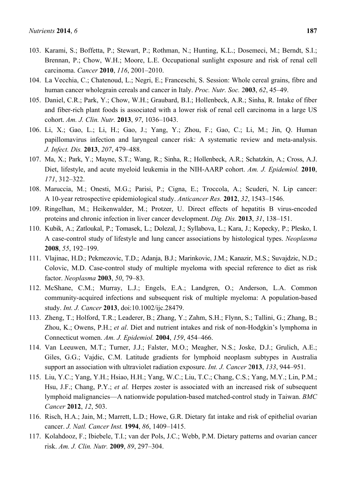- 103. Karami, S.; Boffetta, P.; Stewart, P.; Rothman, N.; Hunting, K.L.; Dosemeci, M.; Berndt, S.I.; Brennan, P.; Chow, W.H.; Moore, L.E. Occupational sunlight exposure and risk of renal cell carcinoma. *Cancer* **2010**, *116*, 2001–2010.
- 104. La Vecchia, C.; Chatenoud, L.; Negri, E.; Franceschi, S. Session: Whole cereal grains, fibre and human cancer wholegrain cereals and cancer in Italy. *Proc. Nutr. Soc.* 2**003**, *62*, 45–49.
- 105. Daniel, C.R.; Park, Y.; Chow, W.H.; Graubard, B.I.; Hollenbeck, A.R.; Sinha, R. Intake of fiber and fiber-rich plant foods is associated with a lower risk of renal cell carcinoma in a large US cohort. *Am. J. Clin. Nutr.* **2013**, *97*, 1036–1043.
- 106. Li, X.; Gao, L.; Li, H.; Gao, J.; Yang, Y.; Zhou, F.; Gao, C.; Li, M.; Jin, Q. Human papillomavirus infection and laryngeal cancer risk: A systematic review and meta-analysis. *J. Infect. Dis.* **2013**, *207*, 479–488.
- 107. Ma, X.; Park, Y.; Mayne, S.T.; Wang, R.; Sinha, R.; Hollenbeck, A.R.; Schatzkin, A.; Cross, A.J. Diet, lifestyle, and acute myeloid leukemia in the NIH-AARP cohort. *Am. J. Epidemiol.* **2010**, *171*, 312–322.
- 108. Maruccia, M.; Onesti, M.G.; Parisi, P.; Cigna, E.; Troccola, A.; Scuderi, N. Lip cancer: A 10-year retrospective epidemiological study. *Anticancer Res.* **2012**, *32*, 1543–1546.
- 109. Ringelhan, M.; Heikenwalder, M.; Protzer, U. Direct effects of hepatitis B virus-encoded proteins and chronic infection in liver cancer development. *Dig. Dis.* **2013**, *31*, 138–151.
- 110. Kubik, A.; Zatloukal, P.; Tomasek, L.; Dolezal, J.; Syllabova, L.; Kara, J.; Kopecky, P.; Plesko, I. A case-control study of lifestyle and lung cancer associations by histological types. *Neoplasma* **2008**, *55*, 192–199.
- 111. Vlajinac, H.D.; Pekmezovic, T.D.; Adanja, B.J.; Marinkovic, J.M.; Kanazir, M.S.; Suvajdzic, N.D.; Colovic, M.D. Case-control study of multiple myeloma with special reference to diet as risk factor. *Neoplasma* **2003**, *50*, 79–83.
- 112. McShane, C.M.; Murray, L.J.; Engels, E.A.; Landgren, O.; Anderson, L.A. Common community-acquired infections and subsequent risk of multiple myeloma: A population-based study. *Int. J. Cancer* **2013**, doi:10.1002/ijc.28479.
- 113. Zheng, T.; Holford, T.R.; Leaderer, B.; Zhang, Y.; Zahm, S.H.; Flynn, S.; Tallini, G.; Zhang, B.; Zhou, K.; Owens, P.H.; *et al*. Diet and nutrient intakes and risk of non-Hodgkin's lymphoma in Connecticut women. *Am. J. Epidemiol.* **2004**, *159*, 454–466.
- 114. Van Leeuwen, M.T.; Turner, J.J.; Falster, M.O.; Meagher, N.S.; Joske, D.J.; Grulich, A.E.; Giles, G.G.; Vajdic, C.M. Latitude gradients for lymphoid neoplasm subtypes in Australia support an association with ultraviolet radiation exposure. *Int. J. Cancer* 2**013**, *133*, 944–951.
- 115. Liu, Y.C.; Yang, Y.H.; Hsiao, H.H.; Yang, W.C.; Liu, T.C.; Chang, C.S.; Yang, M.Y.; Lin, P.M.; Hsu, J.F.; Chang, P.Y.; *et al.* Herpes zoster is associated with an increased risk of subsequent lymphoid malignancies—A nationwide population-based matched-control study in Taiwan. *BMC Cancer* **2012**, *12*, 503.
- 116. Risch, H.A.; Jain, M.; Marrett, L.D.; Howe, G.R. Dietary fat intake and risk of epithelial ovarian cancer. *J. Natl. Cancer Inst.* **1994**, *86*, 1409–1415.
- 117. Kolahdooz, F.; Ibiebele, T.I.; van der Pols, J.C.; Webb, P.M. Dietary patterns and ovarian cancer risk. *Am. J. Clin. Nutr.* **2009**, *89*, 297–304.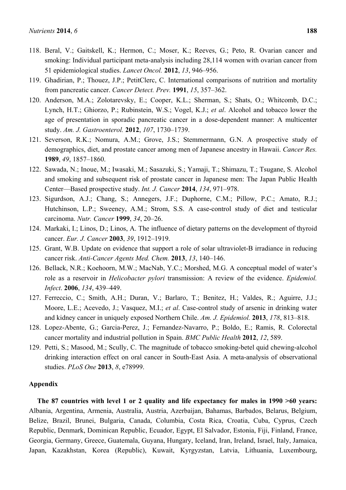- 118. Beral, V.; Gaitskell, K.; Hermon, C.; Moser, K.; Reeves, G.; Peto, R. Ovarian cancer and smoking: Individual participant meta-analysis including 28,114 women with ovarian cancer from 51 epidemiological studies. *Lancet Oncol.* **2012**, *13*, 946–956.
- 119. Ghadirian, P.; Thouez, J.P.; PetitClerc, C. International comparisons of nutrition and mortality from pancreatic cancer. *Cancer Detect. Prev.* **1991**, *15*, 357–362.
- 120. Anderson, M.A.; Zolotarevsky, E.; Cooper, K.L.; Sherman, S.; Shats, O.; Whitcomb, D.C.; Lynch, H.T.; Ghiorzo, P.; Rubinstein, W.S.; Vogel, K.J.; *et al*. Alcohol and tobacco lower the age of presentation in sporadic pancreatic cancer in a dose-dependent manner: A multicenter study. *Am. J. Gastroenterol.* **2012**, *107*, 1730–1739.
- 121. Severson, R.K.; Nomura, A.M.; Grove, J.S.; Stemmermann, G.N. A prospective study of demographics, diet, and prostate cancer among men of Japanese ancestry in Hawaii. *Cancer Res.* **1989**, *49*, 1857–1860.
- 122. Sawada, N.; Inoue, M.; Iwasaki, M.; Sasazuki, S.; Yamaji, T.; Shimazu, T.; Tsugane, S. Alcohol and smoking and subsequent risk of prostate cancer in Japanese men: The Japan Public Health Center—Based prospective study. *Int. J. Cancer* **2014**, *134*, 971–978.
- 123. Sigurdson, A.J.; Chang, S.; Annegers, J.F.; Duphorne, C.M.; Pillow, P.C.; Amato, R.J.; Hutchinson, L.P.; Sweeney, A.M.; Strom, S.S. A case-control study of diet and testicular carcinoma. *Nutr. Cancer* **1999**, *34*, 20–26.
- 124. Markaki, I.; Linos, D.; Linos, A. The influence of dietary patterns on the development of thyroid cancer. *Eur. J. Cancer* **2003**, *39*, 1912–1919.
- 125. Grant, W.B. Update on evidence that support a role of solar ultraviolet-B irradiance in reducing cancer risk. *Anti-Cancer Agents Med. Chem.* **2013**, *13*, 140–146.
- 126. Bellack, N.R.; Koehoorn, M.W.; MacNab, Y.C.; Morshed, M.G. A conceptual model of water's role as a reservoir in *Helicobacter pylori* transmission: A review of the evidence. *Epidemiol. Infect*. **2006**, *134*, 439–449.
- 127. Ferreccio, C.; Smith, A.H.; Duran, V.; Barlaro, T.; Benitez, H.; Valdes, R.; Aguirre, J.J.; Moore, L.E.; Acevedo, J.; Vasquez, M.I.; *et al*. Case-control study of arsenic in drinking water and kidney cancer in uniquely exposed Northern Chile. *Am. J. Epidemiol.* **2013**, *178*, 813–818.
- 128. Lopez-Abente, G.; Garcia-Perez, J.; Fernandez-Navarro, P.; Boldo, E.; Ramis, R. Colorectal cancer mortality and industrial pollution in Spain. *BMC Public Health* **2012**, *12*, 589.
- 129. Petti, S.; Masood, M.; Scully, C. The magnitude of tobacco smoking-betel quid chewing-alcohol drinking interaction effect on oral cancer in South-East Asia. A meta-analysis of observational studies. *PLoS One* **2013**, *8*, e78999.

### **Appendix**

**The 87 countries with level 1 or 2 quality and life expectancy for males in 1990 >60 years:** Albania, Argentina, Armenia, Australia, Austria, Azerbaijan, Bahamas, Barbados, Belarus, Belgium, Belize, Brazil, Brunei, Bulgaria, Canada, Columbia, Costa Rica, Croatia, Cuba, Cyprus, Czech Republic, Denmark, Dominican Republic, Ecuador, Egypt, El Salvador, Estonia, Fiji, Finland, France, Georgia, Germany, Greece, Guatemala, Guyana, Hungary, Iceland, Iran, Ireland, Israel, Italy, Jamaica, Japan, Kazakhstan, Korea (Republic), Kuwait, Kyrgyzstan, Latvia, Lithuania, Luxembourg,